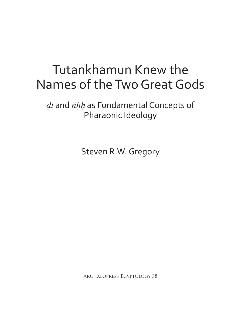# Tutankhamun Knew the Names of the Two Great Gods

*dt* and *nhh* as Fundamental Concepts of Pharaonic Ideology

Steven R.W. Gregory

Archaeopress Egyptology 38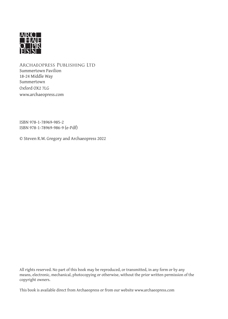

Archaeopress Publishing Ltd Summertown Pavilion 18-24 Middle Way Summertown Oxford OX2 7LG www.archaeopress.com

ISBN 978-1-78969-985-2 ISBN 978-1-78969-986-9 (e-Pdf)

© Steven R.W. Gregory and Archaeopress 2022

All rights reserved. No part of this book may be reproduced, or transmitted, in any form or by any means, electronic, mechanical, photocopying or otherwise, without the prior written permission of the copyright owners.

This book is available direct from Archaeopress or from our website www.archaeopress.com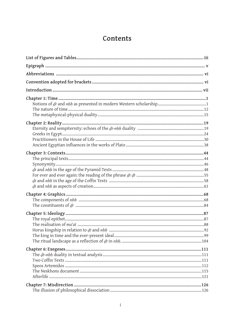### Contents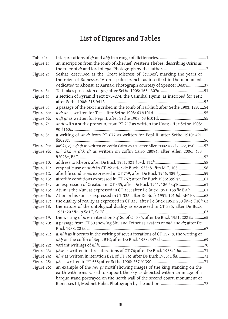## **List of Figures and Tables**

| Table 1:   |                                                                                                       |
|------------|-------------------------------------------------------------------------------------------------------|
| Figure 1:  | an inscription from the tomb of Kheruef, Western Thebes, describing Osiris as                         |
|            |                                                                                                       |
| Figure 2:  | Seshat, described as the 'Great Mistress of Scribes', marking the years of                            |
|            | the reign of Ramesses IV on a palm branch, as inscribed in the monument                               |
|            | dedicated to Khonsu at Karnak. Photograph courtesy of Spencer Dean37                                  |
| Figure 3:  |                                                                                                       |
| Figure 4:  | a section of Pyramid Text 273-274, the Cannibal Hymn, as inscribed for Teti;                          |
|            |                                                                                                       |
| Figure 5:  | a passage of the text inscribed in the tomb of Harkhuf; after Sethe 1903: 128.  54                    |
| Figure 6a: |                                                                                                       |
| Figure 6b: |                                                                                                       |
| Figure 7:  | dt dt with a suffix pronoun, from PT 217 as written for Unas; after Sethe 1908:                       |
|            |                                                                                                       |
| Figure 8:  | a writing of dt dt from PT 677 as written for Pepi II; after Sethe 1910: 491                          |
|            |                                                                                                       |
| Figure 9a: | hn <sup>c</sup> k3(.k) n dt dt as written on coffin Cairo 28091; after Allen 2006: 433 § 2028c, B9C57 |
| Figure 9b: | $hnc$ k3.k n dt.k dt as written on coffin Cairo 28094; after Allen 2006: 433                          |
|            |                                                                                                       |
| Figure 10: |                                                                                                       |
| Figure 11: | emphatic use of dt dt in CT 29; after de Buck 1935: 81 §m M.C. 10558                                  |
| Figure 12: | afterlife conditions expressed in CT 759; after De Buck 1956: 389 §g59                                |
| Figure 13: | afterlife conditions expressed in CT 767; after De Buck 1956: 399 §f. 61                              |
| Figure 14: | an expression of Creation in CT 335; after De Buck 1951: 186 §Sq1C 61                                 |
| Figure 15: | Atum is the Nun, as expressed in CT 335; after De Buck 1951: 188 §c B9C <sup>a</sup> . 61             |
| Figure 16: | Atum in his sun, as expressed in CT 335; after De Buck 1951: 191 §d. BH1Br62                          |
| Figure 17: | the duality of reality as expressed in CT 335; after De Buck 1951: 200 §d-e T1Cb 63                   |
| Figure 18: | the nature of the ontological duality as expressed in CT 335; after De Buck                           |
|            |                                                                                                       |
| Figure 19: | the writing of hrw in iteration Sq1Sq of CT 335; after De Buck 1951: 202 §a  65                       |
| Figure 20: | a passage from CT 80 showing Shu and Tefnet as avatars of nhh and dt; after De                        |
|            |                                                                                                       |
| Figure 21: | a. nhh as it occurs in the writing of seven iterations of CT 157; b. the writing of                   |
|            |                                                                                                       |
| Figure 22: |                                                                                                       |
| Figure 23: | hhw as written in three iterations of CT 76; after De Buck 1938: 1 Sa. 71                             |
| Figure 24: | hhw as written in iteration B2L of CT 76; after De Buck 1938: 1 Sa71                                  |
| Figure 25: |                                                                                                       |
| Figure 26: | an example of the $tw3pt$ motif showing images of the king standing on the                            |
|            | earth with arms raised to support the sky as depicted within an image of a                            |
|            | barque stand portrayed on the north wall of the second court, monument of                             |
|            |                                                                                                       |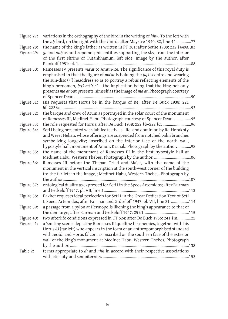| Figure 27: | variations in the orthography of the bird in the writing of hhw. To the left with<br>the nh-bird, on the right with the 3-bird; after Maystre 1940: 82, line 44. 77 |
|------------|---------------------------------------------------------------------------------------------------------------------------------------------------------------------|
| Figure 28: | the name of the king's father as written in PT 301; after Sethe 1908: 232 \$449a. .83                                                                               |
| Figure 29: | dt and nhh as anthropomorphic entities supporting the sky; from the interior                                                                                        |
|            | of the first shrine of Tutankhamun, left side. Image by the author, after                                                                                           |
|            |                                                                                                                                                                     |
| Figure 30: | Ramesses IV presents ma'at to Amun-Re. The significance of this royal duty is                                                                                       |
|            | emphasised in that the figure of $ma'at$ is holding the $hq3$ sceptre and wearing                                                                                   |
|            | the sun-disc $(rc)$ headdress so as to portray a rebus reflecting elements of the                                                                                   |
|            | king's prenomen, $hq3-m3^ct-r^c$ - the implication being that the king not only                                                                                     |
|            | presents ma'at but presents himself as the image of ma'at. Photograph courtesy                                                                                      |
|            |                                                                                                                                                                     |
| Figure 31: | Isis requests that Horus be in the barque of Re; after De Buck 1938: 221                                                                                            |
|            |                                                                                                                                                                     |
| Figure 32: | the barque and crew of Atum as portrayed in the solar court of the monument                                                                                         |
|            | of Ramesses III, Medinet Habu. Photograph courtesy of Spencer Dean. 95                                                                                              |
| Figure 33: |                                                                                                                                                                     |
| Figure 34: | Seti I being presented with jubilee festivals, life, and dominion by Re-Horakhty                                                                                    |
|            | and Weret Hekau, whose offerings are suspended from notched palm branches                                                                                           |
|            | symbolizing longevity; inscribed on the interior face of the north wall,                                                                                            |
|            | hypostyle hall, monument of Amun, Karnak. Photograph by the author98                                                                                                |
| Figure 35: | the name of the monument of Ramesses III in the first hypostyle hall at                                                                                             |
|            | Medinet Habu, Western Thebes. Photograph by the author. 106                                                                                                         |
| Figure 36: | Ramesses III before the Theban Triad and Ma'at, with the name of the                                                                                                |
|            | monument in the vertical inscription at the south-west corner of the building                                                                                       |
|            | (to the far left in the image); Medinet Habu, Western Thebes. Photograph by                                                                                         |
|            |                                                                                                                                                                     |
| Figure 37: | ontological duality as expressed for Seti I in the Speos Artemidos; after Fairman                                                                                   |
|            |                                                                                                                                                                     |
| Figure 38: | Pakhet requests ideal perfection for Seti I in the Great Dedication Text of Seti                                                                                    |
|            | I, Speos Artemidos; after Fairman and Grdseloff 1947: pl. VII, line 21. 114                                                                                         |
| Figure 39: | a passage from a pylon at Hermopolis likening the king's appearance to that of                                                                                      |
|            |                                                                                                                                                                     |
| Figure 40: | two afterlife conditions expressed in CT 624; after De Buck 1956: 241 §m122                                                                                         |
| Figure 41: | a 'smiting scene' depicting Ramesses III quelling his enemies, together with his                                                                                    |
|            | Horus $k$ 3 (far left) who appears in the form of an anthropomorphised standard                                                                                     |
|            | with serekh and Horus falcon; as inscribed on the southern face of the exterior                                                                                     |
|            | wall of the king's monument at Medinet Habu, Western Thebes. Photograph                                                                                             |
| Table 2:   |                                                                                                                                                                     |
|            | terms appropriate to $dt$ and $nhh$ in accord with their respective associations                                                                                    |
|            |                                                                                                                                                                     |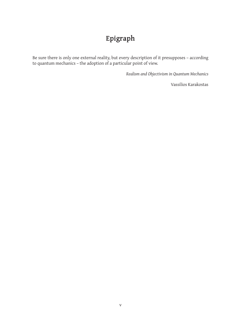## **Epigraph**

Be sure there is only one external reality, but every description of it presupposes – according to quantum mechanics – the adoption of a particular point of view.

*Realism and Objectivism in Quantum Mechanics*

Vassilios Karakostas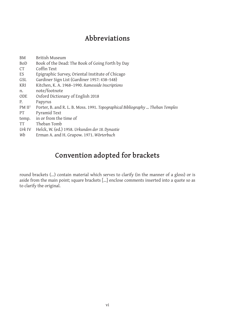## **Abbreviations**

| BM                 | British Museum                                                                 |
|--------------------|--------------------------------------------------------------------------------|
| <b>BoD</b>         | Book of the Dead: The Book of Going Forth by Day                               |
| CT <sup>-</sup>    | Coffin Text                                                                    |
| ES                 | Epigraphic Survey, Oriental Institute of Chicago                               |
| GSL                | Gardiner Sign List (Gardiner 1957: 438-548)                                    |
| <b>KRI</b>         | Kitchen, K. A. 1968-1990. Ramesside Inscriptions                               |
| n.                 | note/footnote                                                                  |
| <b>ODE</b>         | Oxford Dictionary of English 2018                                              |
| P.                 | Papyrus                                                                        |
| PM II <sup>2</sup> | Porter, B. and R. L. B. Moss. 1991. Topographical Bibliography  Theban Temples |
| PT                 | Pyramid Text                                                                   |
| temp.              | in or from the time of                                                         |
| <b>TT</b>          | Theban Tomb                                                                    |
| Urk IV             | Helck, W. (ed.) 1958. Urkunden der 18. Dynastie                                |
| Wb                 | Erman A. and H. Grapow. 1971. Wörterbuch                                       |
|                    |                                                                                |

## **Convention adopted for brackets**

round brackets (...) contain material which serves to clarify (in the manner of a gloss) or is aside from the main point; square brackets [...] enclose comments inserted into a quote so as to clarify the original.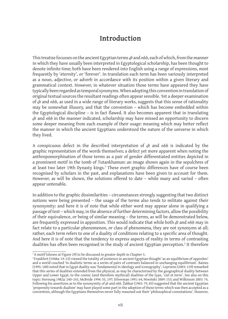## **Introduction**

This treatise focusses on the ancient Egyptian terms *dt* and *nhh*, each of which, from the manner in which they have usually been interpreted in Egyptological scholarship, has been thought to denote infinite time; both have been rendered into English using a range of expressions, most frequently by 'eternity', or 'forever'. In translation each term has been variously interpreted as a noun, adjective, or adverb in accordance with its position within a given literary and grammatical context. However, in whatever situation those terms have appeared they have typically been regarded as temporal synonyms. When adopting this convention in translation of original textual sources the resultant readings often appear sensible. Yet a deeper examination of *Dt* and *nHH*, as used in a wide range of literary works, suggests that this sense of rationality may be somewhat illusory, and that the convention – which has become embedded within the Egyptological discipline – is in fact flawed. It also becomes apparent that in translating *Dt* and *nHH* in the manner indicated, scholarship may have missed an opportunity to discern some deeper meaning from each example of their usage: meaning which may better reflect the manner in which the ancient Egyptians understood the nature of the universe in which they lived.

A conspicuous defect in the described interpretation of *dt* and *nhh* is indicated by the graphic representation of the words themselves; a defect yet more apparent when noting the anthropomorphisation of those terms as a pair of gender differentiated entities depicted in a prominent motif in the tomb of Tutankhamun: an image shown again in the sepulchres of at least two later 19th Dynasty kings.<sup>1</sup> These overt graphic differences have of course been recognised by scholars in the past, and explanations have been given to account for them. However, as will be shown, the solutions offered to date – while many and varied – often appear untenable.

In addition to the graphic dissimilarities – circumstances strongly suggesting that two distinct notions were being presented – the usage of the terms also tends to militate against their synonymity: and here it is of note that while either word may appear alone in qualifying a passage of text – which may, in the absence of further determining factors, allow the possibility of their equivalence, or being of similar meaning – the terms, as will be demonstrated below, are frequently expressed in apposition. This would indicate that while both *dt* and *nhh* may in fact relate to a particular phenomenon, or class of phenomena, they are not synonyms at all; rather, each term refers to one of a duality of conditions relating to a specific area of thought. And here it is of note that the tendency to express aspects of reality in terms of contrasting dualities has often been recognised in the study of ancient Egyptian perception.2 It therefore

<sup>&</sup>lt;sup>1</sup>A motif (shown at Figure 29) to be discussed in greater depth in Chapter 5.

<sup>2</sup> Frankfort (1948a: 19–23) viewed the totality of existence in ancient Egyptian thought 'as an equilibrium of opposites' and a world couched 'in dualistic terms as a series of pairs of contrasts balanced in unchanging equilibrium'. Baines (1995: 100) noted that in Egypt duality was 'fundamental in ideology and iconography'. Loprieno (2003: 129) remarked that this series of dualities extended from the physical, as may be characterised by the geographical duality between Upper and Lower Egypt, to the cosmic (and therefore mythical) dualities of the type, 'ciel et terre'. See also on this topic: Hornung 1982a: 240–241; McBride 1994: 55, 197; Silverman 1991: 64; Niwiński 2009: 153; and Wilkinson 2003: 74. Following his assertions as to the synonymity of *dt* and *nhh*, Žabkar (1965: 79, 83) suggested that the ancient Egyptian 'propensity towards dualism' may have played some part in the adoption of those terms which was then accepted as a convention, although the Egyptians themselves never fully reasoned out their 'philosophical connotations'. However,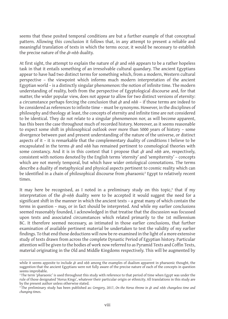seems that these posited temporal conditions are but a further example of that conceptual pattern. Allowing this conclusion it follows that, in any attempt to present a reliable and meaningful translation of texts in which the terms occur, it would be necessary to establish the precise nature of the *dt-nhh* duality.

At first sight, the attempt to explain the nature of *dt* and *nhh* appears to be a rather hopeless task in that it entails something of an irresolvable cultural quandary. The ancient Egyptians appear to have had two distinct terms for something which, from a modern, Western cultural perspective – the viewpoint which informs much modern interpretation of the ancient Egyptian world – is a distinctly singular phenomenon: the notion of infinite time. The modern understanding of reality, both from the perspective of Egyptological discourse and, for that matter, the wider popular view, does not appear to allow for two distinct versions of eternity: a circumstance perhaps forcing the conclusion that *dt* and *nhh* – if those terms are indeed to be considered as references to infinite time – must be synonyms. However, in the disciplines of philosophy and theology at least, the concepts of eternity and infinite time are not considered to be identical. They do not relate to a singular phenomenon nor, as will become apparent, has this been the case throughout much of recorded history. Moreover, as it seems reasonable to expect some shift in philosophical outlook over more than 5000 years of history – some divergence between past and present understanding of the nature of the universe, or distinct aspects of it – it is remarkable that the complementary duality of conditions I believe to be encapsulated in the terms *dt* and *nhh* has remained pertinent to cosmological theories with some constancy. And it is in this context that I propose that *dt* and *nhh* are, respectively, consistent with notions denoted by the English terms 'eternity' and 'sempiternity' – concepts which are not merely temporal, but which have wider ontological connotations. The terms describe a duality of metaphysical and physical aspects pertinent to cosmic reality which can be identified in a chain of philosophical discourse from pharaonic $^3$  Egypt to relatively recent times.

It may here be recognised, as I noted in a preliminary study on this topic, $^{\ast}$  that if my interpretation of the *dt-nhh* duality were to be accepted it would suggest the need for a significant shift in the manner in which the ancient texts – a great many of which contain the terms in question – may, or in fact should be interpreted. And while my earlier conclusions seemed reasonably founded, I acknowledged in that treatise that the discussion was focussed upon texts and associated circumstances which related primarily to the 1st millennium BC. It therefore seemed necessary, as intimated in those earlier conclusions, that further examination of available pertinent material be undertaken to test the validity of my earlier findings. To that end those deductions will now be re-examined in the light of a more extensive study of texts drawn from across the complete Dynastic Period of Egyptian history. Particular attention will be given to the bodies of work now referred to as Pyramid Texts and Coffin Texts, material originating in the Old and Middle Kingdoms respectively. This will be augmented by

while it seems apposite to include *dt* and *nhh* among the examples of dualism apparent in pharaonic thought, the suggestion that the ancient Egyptians were not fully aware of the precise nature of each of the concepts in question seems improbable.

<sup>&</sup>lt;sup>3</sup>The term 'pharaonic' is used throughout this study with reference to that period of time when Egypt was under the rule of those designated 'Horus Kings', whatever their particular origin or ethnicity. All translations in this study are by the present author unless otherwise stated.

<sup>&</sup>lt;sup>4</sup> The preliminary study has been published as: Gregory, 2017, *On the Horus throne in dt and nhh: changeless time and changing times*.